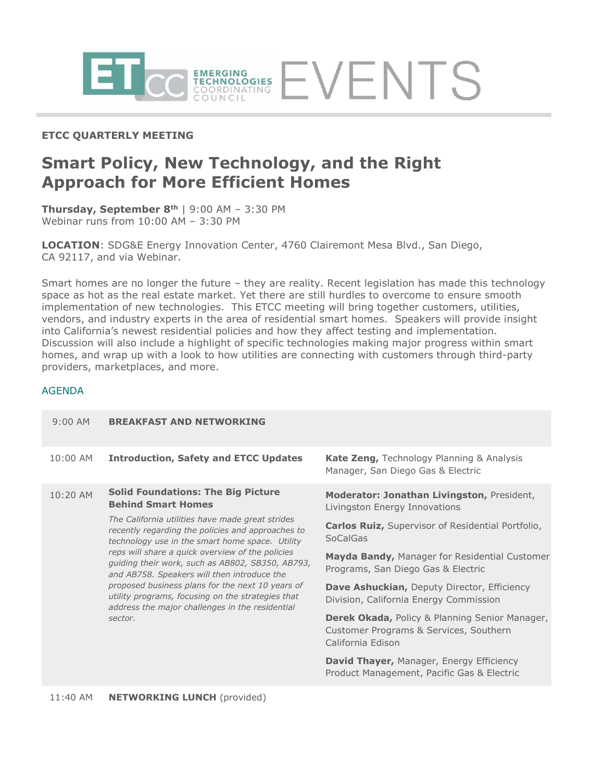

## **ETCC QUARTERLY MEETING**

# **Smart Policy, New Technology, and the Right Approach for More Efficient Homes**

**Thursday, September 8th** | 9:00 AM – 3:30 PM Webinar runs from 10:00 AM – 3:30 PM

**LOCATION**: SDG&E Energy Innovation Center, 4760 Clairemont Mesa Blvd., San Diego, CA 92117, and via Webinar.

Smart homes are no longer the future – they are reality. Recent legislation has made this technology space as hot as the real estate market. Yet there are still hurdles to overcome to ensure smooth implementation of new technologies. This ETCC meeting will bring together customers, utilities, vendors, and industry experts in the area of residential smart homes. Speakers will provide insight into California's newest residential policies and how they affect testing and implementation. Discussion will also include a highlight of specific technologies making major progress within smart homes, and wrap up with a look to how utilities are connecting with customers through third-party providers, marketplaces, and more.

### AGENDA

| $9:00$ AM | <b>BREAKFAST AND NETWORKING</b>                                                                                                                                                                                                                                                                                                                                                                                                                                                        |                                                                                                                          |
|-----------|----------------------------------------------------------------------------------------------------------------------------------------------------------------------------------------------------------------------------------------------------------------------------------------------------------------------------------------------------------------------------------------------------------------------------------------------------------------------------------------|--------------------------------------------------------------------------------------------------------------------------|
| 10:00 AM  | <b>Introduction, Safety and ETCC Updates</b>                                                                                                                                                                                                                                                                                                                                                                                                                                           | <b>Kate Zeng, Technology Planning &amp; Analysis</b><br>Manager, San Diego Gas & Electric                                |
| 10:20 AM  | <b>Solid Foundations: The Big Picture</b><br><b>Behind Smart Homes</b>                                                                                                                                                                                                                                                                                                                                                                                                                 | <b>Moderator: Jonathan Livingston, President,</b><br>Livingston Energy Innovations                                       |
|           | The California utilities have made great strides<br>recently regarding the policies and approaches to<br>technology use in the smart home space. Utility<br>reps will share a quick overview of the policies<br>quiding their work, such as AB802, SB350, AB793,<br>and AB758. Speakers will then introduce the<br>proposed business plans for the next 10 years of<br>utility programs, focusing on the strategies that<br>address the major challenges in the residential<br>sector. | <b>Carlos Ruiz, Supervisor of Residential Portfolio,</b><br>SoCalGas                                                     |
|           |                                                                                                                                                                                                                                                                                                                                                                                                                                                                                        | <b>Mayda Bandy, Manager for Residential Customer</b><br>Programs, San Diego Gas & Electric                               |
|           |                                                                                                                                                                                                                                                                                                                                                                                                                                                                                        | <b>Dave Ashuckian, Deputy Director, Efficiency</b><br>Division, California Energy Commission                             |
|           |                                                                                                                                                                                                                                                                                                                                                                                                                                                                                        | <b>Derek Okada, Policy &amp; Planning Senior Manager,</b><br>Customer Programs & Services, Southern<br>California Edison |
|           |                                                                                                                                                                                                                                                                                                                                                                                                                                                                                        | <b>David Thayer, Manager, Energy Efficiency</b><br>Product Management, Pacific Gas & Electric                            |